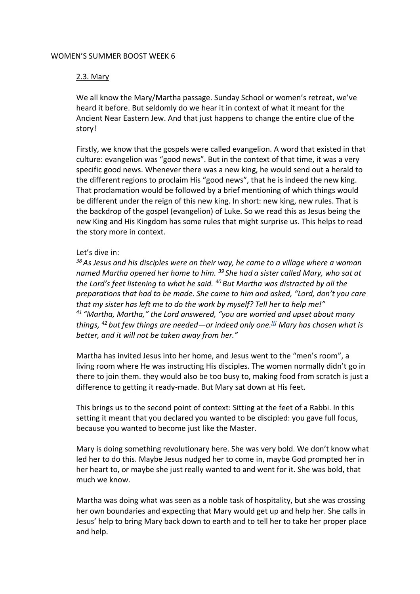#### WOMEN'S SUMMER BOOST WEEK 6

# 2.3. Mary

We all know the Mary/Martha passage. Sunday School or women's retreat, we've heard it before. But seldomly do we hear it in context of what it meant for the Ancient Near Eastern Jew. And that just happens to change the entire clue of the story!

Firstly, we know that the gospels were called evangelion. A word that existed in that culture: evangelion was "good news". But in the context of that time, it was a very specific good news. Whenever there was a new king, he would send out a herald to the different regions to proclaim His "good news", that he is indeed the new king. That proclamation would be followed by a brief mentioning of which things would be different under the reign of this new king. In short: new king, new rules. That is the backdrop of the gospel (evangelion) of Luke. So we read this as Jesus being the new King and His Kingdom has some rules that might surprise us. This helps to read the story more in context.

## Let's dive in:

*<sup>38</sup>As Jesus and his disciples were on their way, he came to a village where a woman named Martha opened her home to him. <sup>39</sup> She had a sister called Mary, who sat at the Lord's feet listening to what he said. <sup>40</sup> But Martha was distracted by all the preparations that had to be made. She came to him and asked, "Lord, don't you care that my sister has left me to do the work by myself? Tell her to help me!" <sup>41</sup> "Martha, Martha," the Lord answered, "you are worried and upset about many things, <sup>42</sup> but few things are needed—or indeed only one.[\[f\]](https://www.biblegateway.com/passage/?search=luke+10&version=NIV#fen-NIV-25406f) Mary has chosen what is better, and it will not be taken away from her."*

Martha has invited Jesus into her home, and Jesus went to the "men's room", a living room where He was instructing His disciples. The women normally didn't go in there to join them. they would also be too busy to, making food from scratch is just a difference to getting it ready-made. But Mary sat down at His feet.

This brings us to the second point of context: Sitting at the feet of a Rabbi. In this setting it meant that you declared you wanted to be discipled: you gave full focus, because you wanted to become just like the Master.

Mary is doing something revolutionary here. She was very bold. We don't know what led her to do this. Maybe Jesus nudged her to come in, maybe God prompted her in her heart to, or maybe she just really wanted to and went for it. She was bold, that much we know.

Martha was doing what was seen as a noble task of hospitality, but she was crossing her own boundaries and expecting that Mary would get up and help her. She calls in Jesus' help to bring Mary back down to earth and to tell her to take her proper place and help.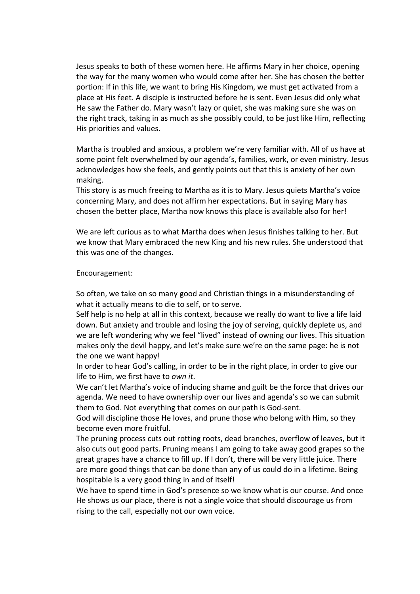Jesus speaks to both of these women here. He affirms Mary in her choice, opening the way for the many women who would come after her. She has chosen the better portion: If in this life, we want to bring His Kingdom, we must get activated from a place at His feet. A disciple is instructed before he is sent. Even Jesus did only what He saw the Father do. Mary wasn't lazy or quiet, she was making sure she was on the right track, taking in as much as she possibly could, to be just like Him, reflecting His priorities and values.

Martha is troubled and anxious, a problem we're very familiar with. All of us have at some point felt overwhelmed by our agenda's, families, work, or even ministry. Jesus acknowledges how she feels, and gently points out that this is anxiety of her own making.

This story is as much freeing to Martha as it is to Mary. Jesus quiets Martha's voice concerning Mary, and does not affirm her expectations. But in saying Mary has chosen the better place, Martha now knows this place is available also for her!

We are left curious as to what Martha does when Jesus finishes talking to her. But we know that Mary embraced the new King and his new rules. She understood that this was one of the changes.

#### Encouragement:

So often, we take on so many good and Christian things in a misunderstanding of what it actually means to die to self, or to serve.

Self help is no help at all in this context, because we really do want to live a life laid down. But anxiety and trouble and losing the joy of serving, quickly deplete us, and we are left wondering why we feel "lived" instead of owning our lives. This situation makes only the devil happy, and let's make sure we're on the same page: he is not the one we want happy!

In order to hear God's calling, in order to be in the right place, in order to give our life to Him, we first have to *own it*.

We can't let Martha's voice of inducing shame and guilt be the force that drives our agenda. We need to have ownership over our lives and agenda's so we can submit them to God. Not everything that comes on our path is God-sent.

God will discipline those He loves, and prune those who belong with Him, so they become even more fruitful.

The pruning process cuts out rotting roots, dead branches, overflow of leaves, but it also cuts out good parts. Pruning means I am going to take away good grapes so the great grapes have a chance to fill up. If I don't, there will be very little juice. There are more good things that can be done than any of us could do in a lifetime. Being hospitable is a very good thing in and of itself!

We have to spend time in God's presence so we know what is our course. And once He shows us our place, there is not a single voice that should discourage us from rising to the call, especially not our own voice.